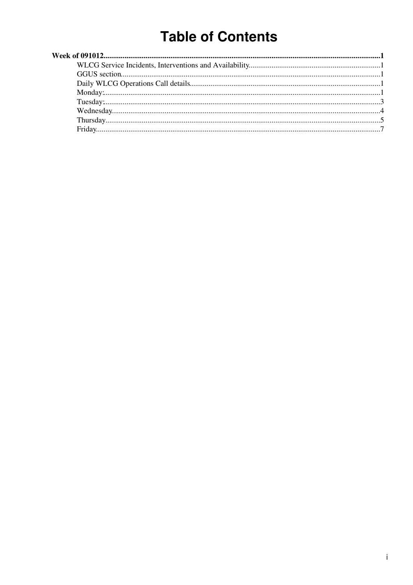# **Table of Contents**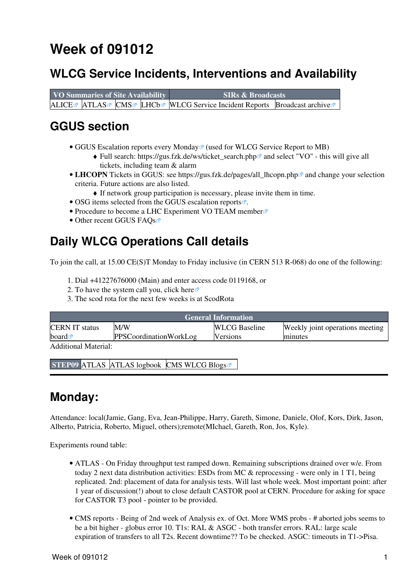## <span id="page-1-0"></span>**Week of 091012**

### <span id="page-1-1"></span>**WLCG Service Incidents, Interventions and Availability**

**VO Summaries of Site Availability SIRs & Broadcasts** [ALICE](http://dashb-alice-sam.cern.ch/dashboard/request.py/historicalsiteavailability?mode=siteavl&siteSelect3=101&sites=CERN-PROD&sites=FZK-LCG2&sites=IN2P3-CC&sites=INFN-T1&sites=NDGF-T1&sites=NIKHEF-ELPROD&sites=RAL-LCG2&sites=SARA-MATRIX&algoId=6&timeRange=lastWeek) [ATLAS](http://dashb-atlas-sam.cern.ch/dashboard/request.py/historicalsiteavailability?mode=siteavl&siteSelect3=403&sites=CERN-PROD&sites=FZK-LCG2&sites=IN2P3-CC&sites=INFN-T1&sites=NDGF-T1&sites=NIKHEF-ELPROD&sites=RAL-LCG2&sites=SARA-MATRIX&sites=TRIUMF-LCG2&sites=Taiwan-LCG2&sites=pic&algoId=21&timeRange=lastWeek) [CMS](http://dashb-cms-sam.cern.ch/dashboard/request.py/historicalsiteavailability?siteSelect3=T1T0&sites=T0_CH_CERN&sites=T1_DE_KIT&sites=T1_ES_PIC&sites=T1_FR_CCIN2P3&sites=T1_IT_CNAF&sites=T1_TW_ASGC&sites=T1_UK_RAL&sites=T1_US_FNAL&timeRange=lastWeek) [LHCb](http://dashb-lhcb-sam.cern.ch/dashboard/request.py/historicalsiteavailability?mode=siteavl&siteSelect3=501&sites=LCG.CERN.ch&sites=LCG.CNAF.it&sites=LCG.GRIDKA.de&sites=LCG.IN2P3.fr&sites=LCG.NIKHEF.nl&sites=LCG.PIC.es&sites=LCG.RAL.uk&algoId=82&timeRange=lastWeek) [WLCG Service Incident Reports](https://twiki.cern.ch/twiki/bin/view/LCG/WLCGServiceIncidents) [Broadcast archive](https://cic.gridops.org/index.php?section=roc&page=broadcastretrievalD)

### <span id="page-1-2"></span>**GGUS section**

- GGUS Escalation reports every Monday<sup>®</sup> (used for WLCG Service Report to MB)
	- ◆ Full search: [https://gus.fzk.de/ws/ticket\\_search.php](https://gus.fzk.de/ws/ticket_search.php)<sup>{{}}</sup> and select "VO" this will give all tickets, including team & alarm
- LHCOPN Tickets in GGUS: see https://gus.fzk.de/pages/all\_lhcopn.php<sup>a</sup> and change your selection criteria. Future actions are also listed.
	- ♦ If network group participation is necessary, please invite them in time.
- OSG items selected from the [GGUS escalation reports](https://gus.fzk.de/pages/metrics/download_escalation_reports_roc.php)<sup>®</sup>.
- [Procedure to become a LHC Experiment VO TEAM member](https://gus.fzk.de/pages/ggus-docs/PDF/1541_FAQ_for_team_member_registration.pdf)
- Other recent GGUS FAOs

### <span id="page-1-3"></span>**Daily WLCG Operations Call details**

To join the call, at 15.00 CE(S)T Monday to Friday inclusive (in CERN 513 R-068) do one of the following:

- 1. Dial +41227676000 (Main) and enter access code 0119168, or
- 2. To have the system call you, click [here](https://audioconf.cern.ch/call/0119168)  $\mathbb{Z}$
- 3. The scod rota for the next few weeks is at [ScodRota](https://twiki.cern.ch/twiki/bin/view/LCG/ScodRota)

| <b>General Information</b> |                               |                      |                                 |  |  |
|----------------------------|-------------------------------|----------------------|---------------------------------|--|--|
| <b>CERN IT status</b>      | M/W                           | <b>WLCG</b> Baseline | Weekly joint operations meeting |  |  |
| board $\mathbb{Z}$         | <b>PPSCoordinationWorkLog</b> | <b>Versions</b>      | minutes                         |  |  |
| Additional Material:       |                               |                      |                                 |  |  |

**STEP09** [ATLAS](https://twiki.cern.ch/twiki/bin/view/Atlas/Step09) [ATLAS logbook](https://twiki.cern.ch/twiki/bin/view/Atlas/Step09Logbook) [CMS](https://twiki.cern.ch/twiki/bin/view/CMS/Step09) [WLCG Blogs](http://cern.ch/planet-wlcg)<sup>®</sup>

#### <span id="page-1-4"></span>**Monday:**

Attendance: local(Jamie, Gang, Eva, Jean-Philippe, Harry, Gareth, Simone, Daniele, Olof, Kors, Dirk, Jason, Alberto, Patricia, Roberto, Miguel, others);remote(MIchael, Gareth, Ron, Jos, Kyle).

Experiments round table:

- ATLAS On Friday throughput test ramped down. Remaining subscriptions drained over w/e. From today 2 next data distribution activities: ESDs from MC & reprocessing - were only in 1 T1, being replicated. 2nd: placement of data for analysis tests. Will last whole week. Most important point: after 1 year of discussion(!) about to close default CASTOR pool at CERN. Procedure for asking for space for CASTOR T3 pool - pointer to be provided.
- CMS [reports](https://twiki.cern.ch/twiki/bin/view/CMS/FacOps_WLCGdailyreports) Being of 2nd week of Analysis ex. of Oct. More WMS probs # aborted jobs seems to be a bit higher - globus error 10. T1s: [RAL](https://twiki.cern.ch/twiki/bin/view/LCG/RAL) & ASGC - both transfer errors. [RAL:](https://twiki.cern.ch/twiki/bin/view/LCG/RAL) large scale expiration of transfers to all T2s. Recent downtime?? To be checked. ASGC: timeouts in T1->Pisa.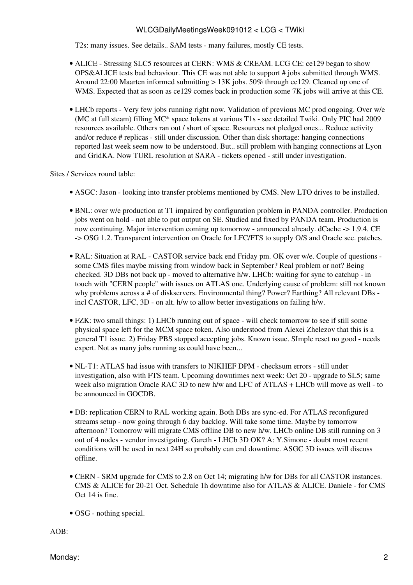T2s: many issues. See details.. SAM tests - many failures, mostly CE tests.

- ALICE Stressing SLC5 resources at CERN: WMS & [CREAM.](https://twiki.cern.ch/twiki/bin/view/LCG/CREAM) LCG CE: ce129 began to show OPS&ALICE tests bad behaviour. This CE was not able to support # jobs submitted through WMS. Around 22:00 Maarten informed submitting > 13K jobs. 50% through ce129. Cleaned up one of WMS. Expected that as soon as ce129 comes back in production some 7K jobs will arrive at this CE.
- LHCb [reports](https://twiki.cern.ch/twiki/bin/view/LHCb/ProductionOperationsWLCGdailyReports)  Very few jobs running right now. Validation of previous MC prod ongoing. Over w/e (MC at full steam) filling MC\* space tokens at various T1s - see detailed Twiki. Only PIC had 2009 resources available. Others ran out / short of space. Resources not pledged ones... Reduce activity and/or reduce # replicas - still under discussion. Other than disk shortage: hanging connections reported last week seem now to be understood. But.. still problem with hanging connections at Lyon and [GridKA.](https://twiki.cern.ch/twiki/bin/edit/LCG/GridKA?topicparent=LCG.WLCGDailyMeetingsWeek091012;nowysiwyg=1) Now TURL resolution at SARA - tickets opened - still under investigation.

Sites / Services round table:

- ASGC: Jason looking into transfer problems mentioned by CMS. New LTO drives to be installed.
- BNL: over w/e production at T1 impaired by configuration problem in PANDA controller. Production jobs went on hold - not able to put output on SE. Studied and fixed by PANDA team. Production is now continuing. Major intervention coming up tomorrow - announced already. dCache -> 1.9.4. CE -> OSG 1.2. Transparent intervention on Oracle for LFC/FTS to supply O/S and Oracle sec. patches.
- [RAL](https://twiki.cern.ch/twiki/bin/view/LCG/RAL): Situation at [RAL](https://twiki.cern.ch/twiki/bin/view/LCG/RAL)  CASTOR service back end Friday pm. OK over w/e. Couple of questions some CMS files maybe missing from window back in September? Real problem or not? Being checked. 3D DBs not back up - moved to alternative h/w. LHCb: waiting for sync to catchup - in touch with "CERN people" with issues on ATLAS one. Underlying cause of problem: still not known why problems across a # of diskservers. Environmental thing? Power? Earthing? All relevant DBs incl CASTOR, LFC, 3D - on alt. h/w to allow better investigations on failing h/w.
- FZK: two small things: 1) LHCb running out of space will check tomorrow to see if still some physical space left for the MCM space token. Also understood from Alexei Zhelezov that this is a general T1 issue. 2) Friday PBS stopped accepting jobs. Known issue. SImple reset no good - needs expert. Not as many jobs running as could have been...
- NL-T1: ATLAS had issue with transfers to NIKHEF DPM checksum errors still under investigation, also with FTS team. Upcoming downtimes next week: Oct 20 - upgrade to SL5; same week also migration Oracle RAC 3D to new h/w and LFC of ATLAS + LHCb will move as well - to be announced in GOCDB.
- DB: replication CERN to [RAL](https://twiki.cern.ch/twiki/bin/view/LCG/RAL) working again. Both DBs are sync-ed. For ATLAS reconfigured streams setup - now going through 6 day backlog. Will take some time. Maybe by tomorrow afternoon? Tomorrow will migrate CMS offline DB to new h/w. LHCb online DB still running on 3 out of 4 nodes - vendor investigating. Gareth - LHCb 3D OK? A: Y.Simone - doubt most recent conditions will be used in next 24H so probably can end downtime. ASGC 3D issues will discuss offline.
- CERN SRM upgrade for CMS to 2.8 on Oct 14; migrating h/w for DBs for all CASTOR instances. CMS & ALICE for 20-21 Oct. Schedule 1h downtime also for ATLAS & ALICE. Daniele - for CMS Oct 14 is fine.
- OSG nothing special.

AOB: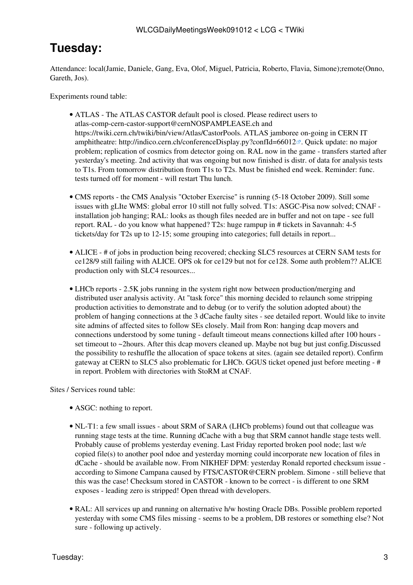### <span id="page-3-0"></span>**Tuesday:**

Attendance: local(Jamie, Daniele, Gang, Eva, Olof, Miguel, Patricia, Roberto, Flavia, Simone);remote(Onno, Gareth, Jos).

Experiments round table:

- ATLAS The ATLAS CASTOR default pool is closed. Please redirect users to [atlas-comp-cern-castor-support@cernNOSPAMPLEASE.ch](mailto:atlas-comp-cern-castor-support@cernNOSPAMPLEASE.ch) and [https://twiki.cern.ch/twiki/bin/view/Atlas/CastorPools.](https://twiki.cern.ch/twiki/bin/view/Atlas/CastorPools) ATLAS jamboree on-going in CERN IT amphitheatre:<http://indico.cern.ch/conferenceDisplay.py?confId=66012> $\mathbb{Z}$ . Quick update: no major problem; replication of cosmics from detector going on. [RAL](https://twiki.cern.ch/twiki/bin/view/LCG/RAL) now in the game - transfers started after yesterday's meeting. 2nd activity that was ongoing but now finished is distr. of data for analysis tests to T1s. From tomorrow distribution from T1s to T2s. Must be finished end week. Reminder: func. tests turned off for moment - will restart Thu lunch.
- CMS [reports](https://twiki.cern.ch/twiki/bin/view/CMS/FacOps_WLCGdailyreports) the CMS Analysis "October Exercise" is running (5-18 October 2009). Still some issues with gLIte WMS: global error 10 still not fully solved. T1s: ASGC-Pisa now solved; CNAF installation job hanging; [RAL:](https://twiki.cern.ch/twiki/bin/view/LCG/RAL) looks as though files needed are in buffer and not on tape - see full report. [RAL](https://twiki.cern.ch/twiki/bin/view/LCG/RAL) - do you know what happened? T2s: huge rampup in # tickets in Savannah: 4-5 tickets/day for T2s up to 12-15; some grouping into categories; full details in report...
- ALICE # of jobs in production being recovered; checking SLC5 resources at CERN SAM tests for ce128/9 still failing with ALICE. OPS ok for ce129 but not for ce128. Some auth problem?? ALICE production only with SLC4 resources...
- LHCb [reports](https://twiki.cern.ch/twiki/bin/view/LHCb/ProductionOperationsWLCGdailyReports)  2.5K jobs running in the system right now between production/merging and distributed user analysis activity. At "task force" this morning decided to relaunch some stripping production activities to demonstrate and to debug (or to verify the solution adopted about) the problem of hanging connections at the 3 dCache faulty sites - see detailed report. Would like to invite site admins of affected sites to follow SEs closely. Mail from Ron: hanging dcap movers and connections understood by some tuning - default timeout means connections killed after 100 hours set timeout to ~2hours. After this dcap movers cleaned up. Maybe not bug but just config.Discussed the possibility to reshuffle the allocation of space tokens at sites. (again see detailed report). Confirm gateway at CERN to SLC5 also problematic for LHCb. GGUS ticket opened just before meeting - # in report. Problem with directories with [StoRM](https://twiki.cern.ch/twiki/bin/view/LCG/StoRM) at CNAF.

Sites / Services round table:

- ASGC: nothing to report.
- NL-T1: a few small issues about SRM of SARA (LHCb problems) found out that colleague was running stage tests at the time. Running dCache with a bug that SRM cannot handle stage tests well. Probably cause of problems yesterday evening. Last Friday reported broken pool node; last w/e copied file(s) to another pool ndoe and yesterday morning could incorporate new location of files in dCache - should be available now. From NIKHEF DPM: yesterday Ronald reported checksum issue according to Simone Campana caused by FTS/CASTOR@CERN problem. Simone - still believe that this was the case! Checksum stored in CASTOR - known to be correct - is different to one SRM exposes - leading zero is stripped! Open thread with developers.
- [RAL](https://twiki.cern.ch/twiki/bin/view/LCG/RAL): All services up and running on alternative h/w hosting Oracle DBs. Possible problem reported yesterday with some CMS files missing - seems to be a problem, DB restores or something else? Not sure - following up actively.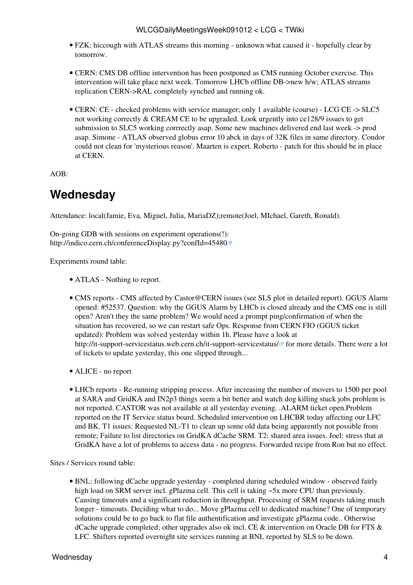- FZK: hiccough with ATLAS streams this morning unknown what caused it hopefully clear by tomorrow.
- CERN: CMS DB offline intervention has been postponed as CMS running October exercise. This intervention will take place next week. Tomorrow LHCb offline DB->new h/w; ATLAS streams replication CERN->RAL completely synched and running ok.
- CERN: CE checked problems with service manager; only 1 available (course) LCG CE -> SLC5 not working correctly & [CREAM](https://twiki.cern.ch/twiki/bin/view/LCG/CREAM) CE to be upgraded. Look urgently into ce128/9 issues to get submission to SLC5 working corrrectly asap. Some new machines delivered end last week -> prod asap. Simone - ATLAS observed globus error 10 abck in days of 32K files in same directory. Condor could not clean for 'mysterious reason'. Maarten is expert. Roberto - patch for this should be in place at CERN.

AOB:

### <span id="page-4-0"></span>**Wednesday**

Attendance: local(Jamie, Eva, Miguel, Julia, [MariaDZ](https://twiki.cern.ch/twiki/bin/edit/LCG/MariaDZ?topicparent=LCG.WLCGDailyMeetingsWeek091012;nowysiwyg=1));remote(Joel, MIchael, Gareth, Ronald).

On-going GDB with sessions on experiment operations(!): <http://indico.cern.ch/conferenceDisplay.py?confId=45480>

Experiments round table:

- ATLAS Nothing to report.
- CMS [reports](https://twiki.cern.ch/twiki/bin/view/CMS/FacOps_WLCGdailyreports) CMS affected by [Castor@CERN](mailto:Castor@CERN) issues (see SLS plot in detailed report). GGUS Alarm opened: #52537. Question: why the GGUS Alarm by LHCb is closed already and the CMS one is still open? Aren't they the same problem? We would need a prompt ping/confirmation of when the situation has recovered, so we can restart safe Ops. Response from CERN FIO (GGUS ticket updated): Problem was solved yesterday within 1h. Please have a look at <http://it-support-servicestatus.web.cern.ch/it-support-servicestatus/>for more details. There were a lot of tickets to update yesterday, this one slipped through...
- ALICE no report
- LHCb [reports](https://twiki.cern.ch/twiki/bin/view/LHCb/ProductionOperationsWLCGdailyReports)  Re-running stripping process. After increasing the number of movers to 1500 per pool at SARA and [GridKA](https://twiki.cern.ch/twiki/bin/edit/LCG/GridKA?topicparent=LCG.WLCGDailyMeetingsWeek091012;nowysiwyg=1) and IN2p3 things seem a bit better and watch dog killing stuck jobs problem is not reported. CASTOR was not available at all yesterday evening. .ALARM ticket open.Problem reported on the IT Service status board. Scheduled intervention on LHCBR today affecting our LFC and BK. T1 issues: Requested NL-T1 to clean up some old data being apparently not possible from remote; Failure to list directories on [GridKA](https://twiki.cern.ch/twiki/bin/edit/LCG/GridKA?topicparent=LCG.WLCGDailyMeetingsWeek091012;nowysiwyg=1) dCache SRM. T2: shared area issues. Joel: stress that at [GridKA](https://twiki.cern.ch/twiki/bin/edit/LCG/GridKA?topicparent=LCG.WLCGDailyMeetingsWeek091012;nowysiwyg=1) have a lot of problems to access data - no progress. Forwarded recipe from Ron but no effect.

Sites / Services round table:

BNL: following dCache upgrade yesterday - completed during scheduled window - observed fairly • high load on SRM server incl. gPlazma cell. This cell is taking ~5x more CPU than previously. Causing timeouts and a significant reduction in throughput. Processing of SRM requests taking much longer - timeouts. Deciding what to do... Move gPlazma cell to dedicated machine? One of temporary solutions could be to go back to flat file authentification and investigate gPlazma code.. Otherwise dCache upgrade completed; other upgrades also ok incl. CE  $\&$  intervention on Oracle DB for FTS  $\&$ LFC. Shifters reported overnight site services running at BNL reported by SLS to be down.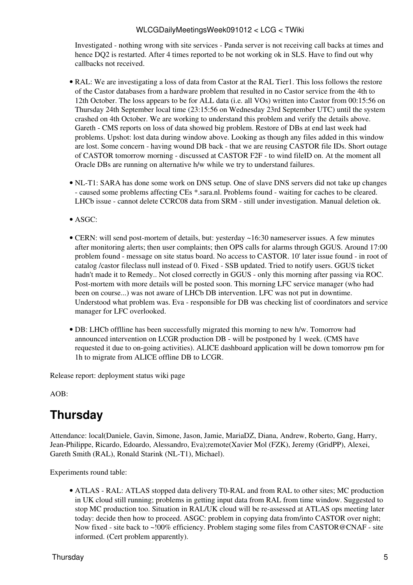Investigated - nothing wrong with site services - Panda server is not receiving call backs at times and hence DQ2 is restarted. After 4 times reported to be not working ok in SLS. Have to find out why callbacks not received.

- [RAL](https://twiki.cern.ch/twiki/bin/view/LCG/RAL): We are investigating a loss of data from Castor at the [RAL](https://twiki.cern.ch/twiki/bin/view/LCG/RAL) Tier1. This loss follows the restore of the Castor databases from a hardware problem that resulted in no Castor service from the 4th to 12th October. The loss appears to be for ALL data (i.e. all VOs) written into Castor from 00:15:56 on Thursday 24th September local time (23:15:56 on Wednesday 23rd September UTC) until the system crashed on 4th October. We are working to understand this problem and verify the details above. Gareth - CMS reports on loss of data showed big problem. Restore of DBs at end last week had problems. Upshot: lost data during window above. Looking as though any files added in this window are lost. Some concern - having wound DB back - that we are reusing CASTOR file IDs. Short outage of CASTOR tomorrow morning - discussed at CASTOR [F2F](https://twiki.cern.ch/twiki/bin/edit/LCG/F2F?topicparent=LCG.WLCGDailyMeetingsWeek091012;nowysiwyg=1) - to wind fileID on. At the moment all Oracle DBs are running on alternative h/w while we try to understand failures.
- NL-T1: SARA has done some work on DNS setup. One of slave DNS servers did not take up changes - caused some problems affecting CEs \*.sara.nl. Problems found - waiting for caches to be cleared. LHCb issue - cannot delete CCRC08 data from SRM - still under investigation. Manual deletion ok.
- ASGC:
- CERN: will send post-mortem of details, but: yesterday ~16:30 nameserver issues. A few minutes after monitoring alerts; then user complaints; then OPS calls for alarms through GGUS. Around 17:00 problem found - message on site status board. No access to CASTOR. 10' later issue found - in root of catalog /castor fileclass null instead of 0. Fixed - SSB updated. Tried to notify users. GGUS ticket hadn't made it to Remedy.. Not closed correctly in GGUS - only this morning after passing via ROC. Post-mortem with more details will be posted soon. This morning LFC service manager (who had been on course...) was not aware of LHCb DB intervention. LFC was not put in downtime. Understood what problem was. Eva - responsible for DB was checking list of coordinators and service manager for LFC overlooked.
- DB: LHCb offlline has been successfully migrated this morning to new h/w. Tomorrow had announced intervention on LCGR production DB - will be postponed by 1 week. (CMS have requested it due to on-going activities). ALICE dashboard application will be down tomorrow pm for 1h to migrate from ALICE offline DB to LCGR.

Release report: [deployment status wiki page](https://twiki.cern.ch/twiki/bin/view/LCG/LcgScmStatus#Deployment_Status)

AOB:

### <span id="page-5-0"></span>**Thursday**

Attendance: local(Daniele, Gavin, Simone, Jason, Jamie, [MariaDZ](https://twiki.cern.ch/twiki/bin/edit/LCG/MariaDZ?topicparent=LCG.WLCGDailyMeetingsWeek091012;nowysiwyg=1), Diana, Andrew, Roberto, Gang, Harry, Jean-Philippe, Ricardo, Edoardo, Alessandro, Eva);remote(Xavier Mol (FZK), Jeremy [\(GridPP\)](https://twiki.cern.ch/twiki/bin/view/LCG/GridPP), Alexei, Gareth Smith [\(RAL](https://twiki.cern.ch/twiki/bin/view/LCG/RAL)), Ronald Starink (NL-T1), Michael).

Experiments round table:

ATLAS - [RAL:](https://twiki.cern.ch/twiki/bin/view/LCG/RAL) ATLAS stopped data delivery T0-RAL and from [RAL](https://twiki.cern.ch/twiki/bin/view/LCG/RAL) to other sites; MC production • in UK cloud still running; problems in getting input data from [RAL](https://twiki.cern.ch/twiki/bin/view/LCG/RAL) from time window. Suggested to stop MC production too. Situation in [RAL/](https://twiki.cern.ch/twiki/bin/view/LCG/RAL)UK cloud will be re-assessed at ATLAS ops meeting later today: decide then how to proceed. ASGC: problem in copying data from/into CASTOR over night; Now fixed - site back to ~!00% efficiency. Problem staging some files from [CASTOR@CNAF](mailto:CASTOR@CNAF) - site informed. (Cert problem apparently).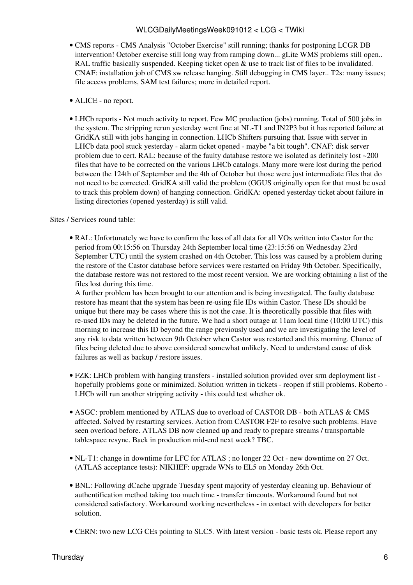- CMS [reports](https://twiki.cern.ch/twiki/bin/view/CMS/FacOps_WLCGdailyreports) CMS Analysis "October Exercise" still running; thanks for postponing LCGR DB intervention! October exercise still long way from ramping down... gLite WMS problems still open.. [RAL](https://twiki.cern.ch/twiki/bin/view/LCG/RAL) traffic basically suspended. Keeping ticket open  $\&$  use to track list of files to be invalidated. CNAF: installation job of CMS sw release hanging. Still debugging in CMS layer.. T2s: many issues; file access problems, SAM test failures; more in detailed report.
- ALICE no report.
- LHCb [reports](https://twiki.cern.ch/twiki/bin/view/LHCb/ProductionOperationsWLCGdailyReports)  Not much activity to report. Few MC production (jobs) running. Total of 500 jobs in the system. The stripping rerun yesterday went fine at NL-T1 and [IN2P3](https://twiki.cern.ch/twiki/bin/view/LCG/IN2P3) but it has reported failure at [GridKA](https://twiki.cern.ch/twiki/bin/edit/LCG/GridKA?topicparent=LCG.WLCGDailyMeetingsWeek091012;nowysiwyg=1) still with jobs hanging in connection. LHCb Shifters pursuing that. Issue with server in LHCb data pool stuck yesterday - alarm ticket opened - maybe "a bit tough". CNAF: disk server problem due to cert. [RAL](https://twiki.cern.ch/twiki/bin/view/LCG/RAL): because of the faulty database restore we isolated as definitely lost ~200 files that have to be corrected on the various LHCb catalogs. Many more were lost during the period between the 124th of September and the 4th of October but those were just intermediate files that do not need to be corrected. [GridKA](https://twiki.cern.ch/twiki/bin/edit/LCG/GridKA?topicparent=LCG.WLCGDailyMeetingsWeek091012;nowysiwyg=1) still valid the problem (GGUS originally open for that must be used to track this problem down) of hanging connection. [GridKA:](https://twiki.cern.ch/twiki/bin/edit/LCG/GridKA?topicparent=LCG.WLCGDailyMeetingsWeek091012;nowysiwyg=1) opened yesterday ticket about failure in listing directories (opened yesterday) is still valid.

Sites / Services round table:

[RAL](https://twiki.cern.ch/twiki/bin/view/LCG/RAL): Unfortunately we have to confirm the loss of all data for all VOs written into Castor for the • period from 00:15:56 on Thursday 24th September local time (23:15:56 on Wednesday 23rd September UTC) until the system crashed on 4th October. This loss was caused by a problem during the restore of the Castor database before services were restarted on Friday 9th October. Specifically, the database restore was not restored to the most recent version. We are working obtaining a list of the files lost during this time.

A further problem has been brought to our attention and is being investigated. The faulty database restore has meant that the system has been re-using file IDs within Castor. These IDs should be unique but there may be cases where this is not the case. It is theoretically possible that files with re-used IDs may be deleted in the future. We had a short outage at 11am local time (10:00 UTC) this morning to increase this ID beyond the range previously used and we are investigating the level of any risk to data written between 9th October when Castor was restarted and this morning. Chance of files being deleted due to above considered somewhat unlikely. Need to understand cause of disk failures as well as backup / restore issues.

- FZK: LHCb problem with hanging transfers installed solution provided over srm deployment list • hopefully problems gone or minimized. Solution written in tickets - reopen if still problems. Roberto - LHCb will run another stripping activity - this could test whether ok.
- ASGC: problem mentioned by ATLAS due to overload of CASTOR DB both ATLAS & CMS affected. Solved by restarting services. Action from CASTOR [F2F](https://twiki.cern.ch/twiki/bin/edit/LCG/F2F?topicparent=LCG.WLCGDailyMeetingsWeek091012;nowysiwyg=1) to resolve such problems. Have seen overload before. ATLAS DB now cleaned up and ready to prepare streams / transportable tablespace resync. Back in production mid-end next week? TBC.
- NL-T1: change in downtime for LFC for ATLAS; no longer 22 Oct new downtime on 27 Oct. (ATLAS acceptance tests): NIKHEF: upgrade WNs to EL5 on Monday 26th Oct.
- BNL: Following dCache upgrade Tuesday spent majority of yesterday cleaning up. Behaviour of authentification method taking too much time - transfer timeouts. Workaround found but not considered satisfactory. Workaround working nevertheless - in contact with developers for better solution.
- CERN: two new LCG CEs pointing to SLC5. With latest version basic tests ok. Please report any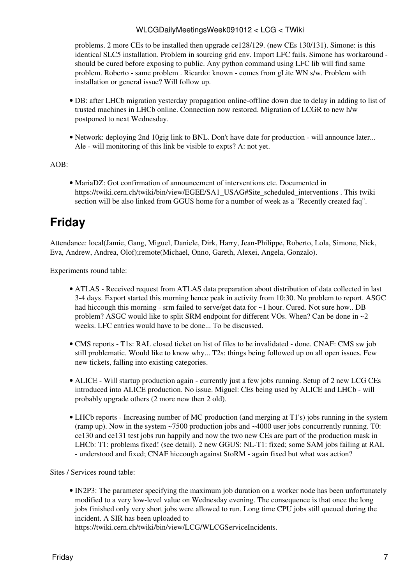problems. 2 more CEs to be installed then upgrade ce128/129. (new CEs 130/131). Simone: is this identical SLC5 installation. Problem in sourcing grid env. Import LFC fails. Simone has workaround should be cured before exposing to public. Any python command using LFC lib will find same problem. Roberto - same problem . Ricardo: known - comes from gLite WN s/w. Problem with installation or general issue? Will follow up.

- DB: after LHCb migration yesterday propagation online-offline down due to delay in adding to list of trusted machines in LHCb online. Connection now restored. Migration of LCGR to new h/w postponed to next Wednesday.
- Network: deploying 2nd 10gig link to BNL. Don't have date for production will announce later... Ale - will monitoring of this link be visible to expts? A: not yet.

 $AOB<sup>2</sup>$ 

• [MariaDZ:](https://twiki.cern.ch/twiki/bin/edit/LCG/MariaDZ?topicparent=LCG.WLCGDailyMeetingsWeek091012;nowysiwyg=1) Got confirmation of announcement of interventions etc. Documented in [https://twiki.cern.ch/twiki/bin/view/EGEE/SA1\\_USAG#Site\\_scheduled\\_interventions](https://twiki.cern.ch/twiki/bin/view/EGEE/SA1_USAG#Site_scheduled_interventions) . This twiki section will be also linked from GGUS home for a number of week as a "Recently created faq".

### <span id="page-7-0"></span>**Friday**

Attendance: local(Jamie, Gang, Miguel, Daniele, Dirk, Harry, Jean-Philippe, Roberto, Lola, Simone, Nick, Eva, Andrew, Andrea, Olof);remote(Michael, Onno, Gareth, Alexei, Angela, Gonzalo).

Experiments round table:

- ATLAS Received request from ATLAS data preparation about distribution of data collected in last 3-4 days. Export started this morning hence peak in activity from 10:30. No problem to report. ASGC had hiccough this morning - srm failed to serve/get data for  $\sim$  1 hour. Cured. Not sure how.. DB problem? ASGC would like to split SRM endpoint for different VOs. When? Can be done in ~2 weeks. LFC entries would have to be done... To be discussed.
- CMS [reports](https://twiki.cern.ch/twiki/bin/view/CMS/FacOps_WLCGdailyreports) T1s: [RAL](https://twiki.cern.ch/twiki/bin/view/LCG/RAL) closed ticket on list of files to be invalidated done. CNAF: CMS sw job still problematic. Would like to know why... T2s: things being followed up on all open issues. Few new tickets, falling into existing categories.
- ALICE Will startup production again currently just a few jobs running. Setup of 2 new LCG CEs introduced into ALICE production. No issue. Miguel: CEs being used by ALICE and LHCb - will probably upgrade others (2 more new then 2 old).
- LHCb [reports](https://twiki.cern.ch/twiki/bin/view/LHCb/ProductionOperationsWLCGdailyReports)  Increasing number of MC production (and merging at T1's) jobs running in the system (ramp up). Now in the system ~7500 production jobs and ~4000 user jobs concurrently running. T0: ce130 and ce131 test jobs run happily and now the two new CEs are part of the production mask in LHCb: T1: problems fixed! (see detail). 2 new GGUS: NL-T1: fixed; some SAM jobs failing at [RAL](https://twiki.cern.ch/twiki/bin/view/LCG/RAL) - understood and fixed; CNAF hiccough against [StoRM](https://twiki.cern.ch/twiki/bin/view/LCG/StoRM) - again fixed but what was action?

Sites / Services round table:

• [IN2P3:](https://twiki.cern.ch/twiki/bin/view/LCG/IN2P3) The parameter specifying the maximum job duration on a worker node has been unfortunately modified to a very low-level value on Wednesday evening. The consequence is that once the long jobs finished only very short jobs were allowed to run. Long time CPU jobs still queued during the incident. A SIR has been uploaded to

<https://twiki.cern.ch/twiki/bin/view/LCG/WLCGServiceIncidents>.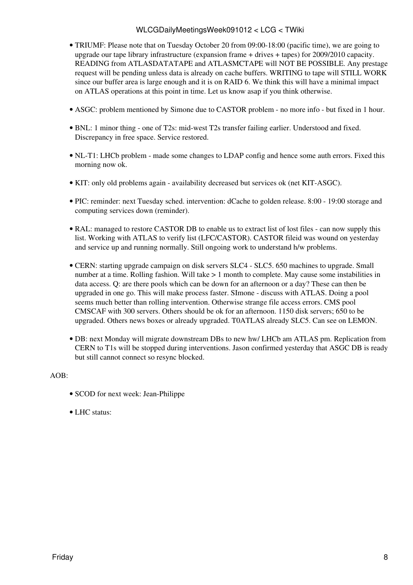- TRIUMF: Please note that on Tuesday October 20 from 09:00-18:00 (pacific time), we are going to upgrade our tape library infrastructure (expansion frame + drives + tapes) for 2009/2010 capacity. READING from ATLASDATATAPE and ATLASMCTAPE will NOT BE POSSIBLE. Any prestage request will be pending unless data is already on cache buffers. WRITING to tape will STILL WORK since our buffer area is large enough and it is on RAID 6. We think this will have a minimal impact on ATLAS operations at this point in time. Let us know asap if you think otherwise.
- ASGC: problem mentioned by Simone due to CASTOR problem no more info but fixed in 1 hour.
- BNL: 1 minor thing one of T2s: mid-west T2s transfer failing earlier. Understood and fixed. Discrepancy in free space. Service restored.
- NL-T1: LHCb problem made some changes to LDAP config and hence some auth errors. Fixed this morning now ok.
- KIT: only old problems again availability decreased but services ok (net KIT-ASGC).
- PIC: reminder: next Tuesday sched. intervention: dCache to golden release. 8:00 19:00 storage and computing services down (reminder).
- [RAL](https://twiki.cern.ch/twiki/bin/view/LCG/RAL): managed to restore CASTOR DB to enable us to extract list of lost files can now supply this list. Working with ATLAS to verify list (LFC/CASTOR). CASTOR fileid was wound on yesterday and service up and running normally. Still ongoing work to understand h/w problems.
- CERN: starting upgrade campaign on disk servers SLC4 SLC5. 650 machines to upgrade. Small number at a time. Rolling fashion. Will take > 1 month to complete. May cause some instabilities in data access. Q: are there pools which can be down for an afternoon or a day? These can then be upgraded in one go. This will make process faster. SImone - discuss with ATLAS. Doing a pool seems much better than rolling intervention. Otherwise strange file access errors. CMS pool CMSCAF with 300 servers. Others should be ok for an afternoon. 1150 disk servers; 650 to be upgraded. Others news boxes or already upgraded. [T0ATLAS](https://twiki.cern.ch/twiki/bin/edit/LCG/T0ATLAS?topicparent=LCG.WLCGDailyMeetingsWeek091012;nowysiwyg=1) already SLC5. Can see on LEMON.
- DB: next Monday will migrate downstream DBs to new hw/ LHCb am ATLAS pm. Replication from CERN to T1s will be stopped during interventions. Jason confirmed yesterday that ASGC DB is ready but still cannot connect so resync blocked.

#### AOB:

- SCOD for next week: Jean-Philippe
- LHC status: